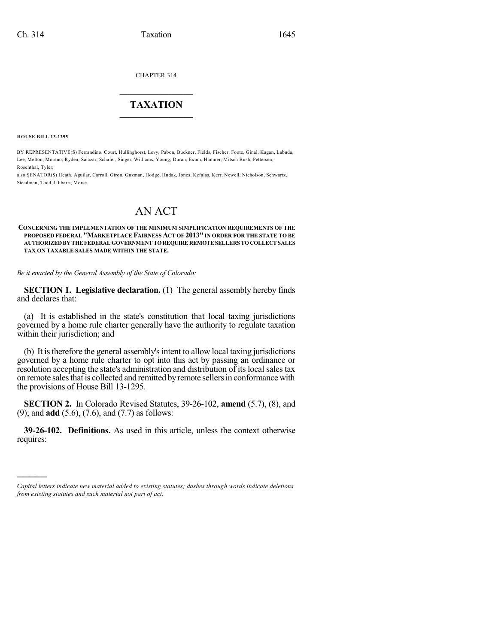CHAPTER 314

## $\mathcal{L}_\text{max}$  . The set of the set of the set of the set of the set of the set of the set of the set of the set of the set of the set of the set of the set of the set of the set of the set of the set of the set of the set **TAXATION**  $\_$

**HOUSE BILL 13-1295**

)))))

BY REPRESENTATIVE(S) Ferrandino, Court, Hullinghorst, Levy, Pabon, Buckner, Fields, Fischer, Foote, Ginal, Kagan, Labuda, Lee, Melton, Moreno, Ryden, Salazar, Schafer, Singer, Williams, Young, Duran, Exum, Hamner, Mitsch Bush, Pettersen, Rosenthal, Tyler;

also SENATOR(S) Heath, Aguilar, Carroll, Giron, Guzman, Hodge, Hudak, Jones, Kefalas, Kerr, Newell, Nicholson, Schwartz, Steadman, Todd, Ulibarri, Morse.

# AN ACT

#### **CONCERNING THE IMPLEMENTATION OF THE MINIMUM SIMPLIFICATION REQUIREMENTS OF THE PROPOSED FEDERAL "MARKETPLACE FAIRNESS ACT OF 2013"IN ORDER FOR THE STATE TO BE AUTHORIZEDBY THE FEDERAL GOVERNMENT TOREQUIRE REMOTESELLERS TOCOLLECT SALES TAX ON TAXABLE SALES MADE WITHIN THE STATE.**

*Be it enacted by the General Assembly of the State of Colorado:*

**SECTION 1. Legislative declaration.** (1) The general assembly hereby finds and declares that:

(a) It is established in the state's constitution that local taxing jurisdictions governed by a home rule charter generally have the authority to regulate taxation within their jurisdiction; and

(b) It istherefore the general assembly'sintent to allow local taxing jurisdictions governed by a home rule charter to opt into this act by passing an ordinance or resolution accepting the state's administration and distribution of its local sales tax on remote sales that is collected and remitted by remote sellers in conformance with the provisions of House Bill 13-1295.

**SECTION 2.** In Colorado Revised Statutes, 39-26-102, **amend** (5.7), (8), and (9); and **add** (5.6), (7.6), and (7.7) as follows:

**39-26-102. Definitions.** As used in this article, unless the context otherwise requires:

*Capital letters indicate new material added to existing statutes; dashes through words indicate deletions from existing statutes and such material not part of act.*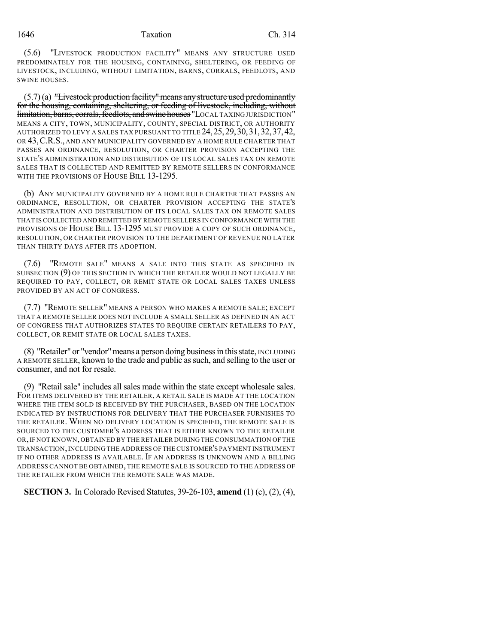#### 1646 Taxation Ch. 314

(5.6) "LIVESTOCK PRODUCTION FACILITY" MEANS ANY STRUCTURE USED PREDOMINATELY FOR THE HOUSING, CONTAINING, SHELTERING, OR FEEDING OF LIVESTOCK, INCLUDING, WITHOUT LIMITATION, BARNS, CORRALS, FEEDLOTS, AND SWINE HOUSES.

(5.7)(a) "Livestock production facility"means anystructure used predominantly for the housing, containing, sheltering, or feeding of livestock, including, without limitation, barns, corrals, feedlots, and swine houses "LOCAL TAXINGJURISDICTION" MEANS A CITY, TOWN, MUNICIPALITY, COUNTY, SPECIAL DISTRICT, OR AUTHORITY AUTHORIZED TO LEVY A SALES TAX PURSUANT TO TITLE 24,25,29,30,31,32,37,42, OR 43,C.R.S., AND ANY MUNICIPALITY GOVERNED BY A HOME RULE CHARTER THAT PASSES AN ORDINANCE, RESOLUTION, OR CHARTER PROVISION ACCEPTING THE STATE'S ADMINISTRATION AND DISTRIBUTION OF ITS LOCAL SALES TAX ON REMOTE SALES THAT IS COLLECTED AND REMITTED BY REMOTE SELLERS IN CONFORMANCE WITH THE PROVISIONS OF HOUSE BILL 13-1295.

(b) ANY MUNICIPALITY GOVERNED BY A HOME RULE CHARTER THAT PASSES AN ORDINANCE, RESOLUTION, OR CHARTER PROVISION ACCEPTING THE STATE'S ADMINISTRATION AND DISTRIBUTION OF ITS LOCAL SALES TAX ON REMOTE SALES THAT IS COLLECTED AND REMITTED BY REMOTE SELLERS IN CONFORMANCE WITH THE PROVISIONS OF HOUSE BILL 13-1295 MUST PROVIDE A COPY OF SUCH ORDINANCE, RESOLUTION, OR CHARTER PROVISION TO THE DEPARTMENT OF REVENUE NO LATER THAN THIRTY DAYS AFTER ITS ADOPTION.

(7.6) "REMOTE SALE" MEANS A SALE INTO THIS STATE AS SPECIFIED IN SUBSECTION (9) OF THIS SECTION IN WHICH THE RETAILER WOULD NOT LEGALLY BE REQUIRED TO PAY, COLLECT, OR REMIT STATE OR LOCAL SALES TAXES UNLESS PROVIDED BY AN ACT OF CONGRESS.

(7.7) "REMOTE SELLER" MEANS A PERSON WHO MAKES A REMOTE SALE; EXCEPT THAT A REMOTE SELLER DOES NOT INCLUDE A SMALL SELLER AS DEFINED IN AN ACT OF CONGRESS THAT AUTHORIZES STATES TO REQUIRE CERTAIN RETAILERS TO PAY, COLLECT, OR REMIT STATE OR LOCAL SALES TAXES.

(8) "Retailer" or "vendor"means a person doing businessin thisstate, INCLUDING A REMOTE SELLER, known to the trade and public assuch, and selling to the user or consumer, and not for resale.

(9) "Retail sale" includes all sales made within the state except wholesale sales. FOR ITEMS DELIVERED BY THE RETAILER, A RETAIL SALE IS MADE AT THE LOCATION WHERE THE ITEM SOLD IS RECEIVED BY THE PURCHASER, BASED ON THE LOCATION INDICATED BY INSTRUCTIONS FOR DELIVERY THAT THE PURCHASER FURNISHES TO THE RETAILER. WHEN NO DELIVERY LOCATION IS SPECIFIED, THE REMOTE SALE IS SOURCED TO THE CUSTOMER'S ADDRESS THAT IS EITHER KNOWN TO THE RETAILER OR,IF NOT KNOWN,OBTAINED BY THE RETAILER DURING THE CONSUMMATION OF THE TRANSACTION,INCLUDING THE ADDRESS OF THE CUSTOMER'S PAYMENT INSTRUMENT IF NO OTHER ADDRESS IS AVAILABLE. IF AN ADDRESS IS UNKNOWN AND A BILLING ADDRESS CANNOT BE OBTAINED, THE REMOTE SALE IS SOURCED TO THE ADDRESS OF THE RETAILER FROM WHICH THE REMOTE SALE WAS MADE.

**SECTION 3.** In Colorado Revised Statutes, 39-26-103, **amend** (1) (c), (2), (4),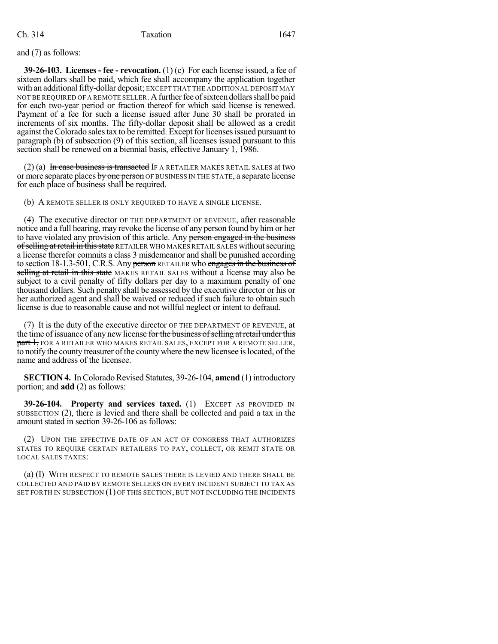and (7) as follows:

**39-26-103. Licenses- fee - revocation.** (1) (c) For each license issued, a fee of sixteen dollars shall be paid, which fee shall accompany the application together with an additional fifty-dollar deposit; EXCEPT THAT THE ADDITIONAL DEPOSIT MAY NOT BE REQUIRED OF A REMOTE SELLER. A further fee of sixteen dollars shall be paid for each two-year period or fraction thereof for which said license is renewed. Payment of a fee for such a license issued after June 30 shall be prorated in increments of six months. The fifty-dollar deposit shall be allowed as a credit against the Colorado sales tax to be remitted. Except for licenses issued pursuant to paragraph (b) of subsection (9) of this section, all licenses issued pursuant to this section shall be renewed on a biennial basis, effective January 1, 1986.

 $(2)$  (a) In case business is transacted IF A RETAILER MAKES RETAIL SALES at two or more separate places by one person OF BUSINESS IN THE STATE, a separate license for each place of business shall be required.

(b) A REMOTE SELLER IS ONLY REQUIRED TO HAVE A SINGLE LICENSE.

(4) The executive director OF THE DEPARTMENT OF REVENUE, after reasonable notice and a full hearing, may revoke the license of any person found by him or her to have violated any provision of this article. Any person engaged in the business of selling at retail in this state RETAILER WHO MAKES RETAIL SALES without securing a license therefor commits a class 3 misdemeanor and shall be punished according to section 18-1.3-501, C.R.S. Any person RETAILER who engages in the business of selling at retail in this state MAKES RETAIL SALES without a license may also be subject to a civil penalty of fifty dollars per day to a maximum penalty of one thousand dollars. Such penalty shall be assessed by the executive director or his or her authorized agent and shall be waived or reduced if such failure to obtain such license is due to reasonable cause and not willful neglect or intent to defraud.

(7) It is the duty of the executive director OF THE DEPARTMENT OF REVENUE, at the time of issuance of any new license for the business of selling at retail under this **part 1, FOR A RETAILER WHO MAKES RETAIL SALES, EXCEPT FOR A REMOTE SELLER,** to notify the county treasurer of the county where the new licensee is located, of the name and address of the licensee.

**SECTION 4.** In Colorado Revised Statutes, 39-26-104, **amend** (1) introductory portion; and **add** (2) as follows:

**39-26-104. Property and services taxed.** (1) EXCEPT AS PROVIDED IN SUBSECTION (2), there is levied and there shall be collected and paid a tax in the amount stated in section 39-26-106 as follows:

(2) UPON THE EFFECTIVE DATE OF AN ACT OF CONGRESS THAT AUTHORIZES STATES TO REQUIRE CERTAIN RETAILERS TO PAY, COLLECT, OR REMIT STATE OR LOCAL SALES TAXES:

(a) (I) WITH RESPECT TO REMOTE SALES THERE IS LEVIED AND THERE SHALL BE COLLECTED AND PAID BY REMOTE SELLERS ON EVERY INCIDENT SUBJECT TO TAX AS SET FORTH IN SUBSECTION (1) OF THIS SECTION, BUT NOT INCLUDING THE INCIDENTS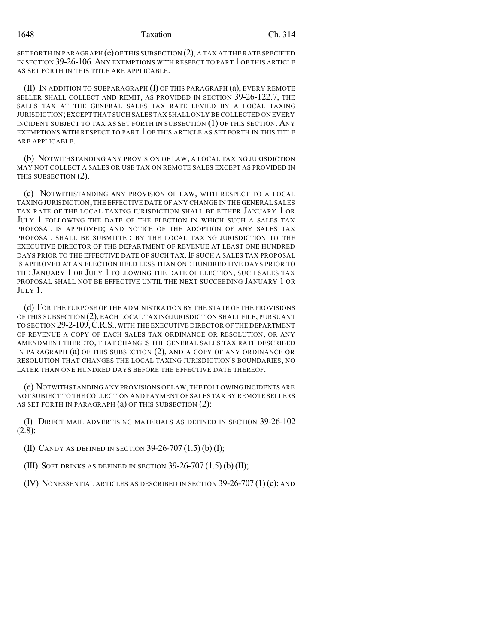SET FORTH IN PARAGRAPH  $(e)$  OF THIS SUBSECTION  $(2)$ , A TAX AT THE RATE SPECIFIED IN SECTION 39-26-106. ANY EXEMPTIONS WITH RESPECT TO PART 1 OF THIS ARTICLE AS SET FORTH IN THIS TITLE ARE APPLICABLE.

(II) IN ADDITION TO SUBPARAGRAPH (I) OF THIS PARAGRAPH (a), EVERY REMOTE SELLER SHALL COLLECT AND REMIT, AS PROVIDED IN SECTION 39-26-122.7, THE SALES TAX AT THE GENERAL SALES TAX RATE LEVIED BY A LOCAL TAXING JURISDICTION;EXCEPT THAT SUCH SALES TAX SHALL ONLY BE COLLECTED ON EVERY INCIDENT SUBJECT TO TAX AS SET FORTH IN SUBSECTION (1) OF THIS SECTION. ANY EXEMPTIONS WITH RESPECT TO PART 1 OF THIS ARTICLE AS SET FORTH IN THIS TITLE ARE APPLICABLE.

(b) NOTWITHSTANDING ANY PROVISION OF LAW, A LOCAL TAXING JURISDICTION MAY NOT COLLECT A SALES OR USE TAX ON REMOTE SALES EXCEPT AS PROVIDED IN THIS SUBSECTION (2).

(c) NOTWITHSTANDING ANY PROVISION OF LAW, WITH RESPECT TO A LOCAL TAXING JURISDICTION,THE EFFECTIVE DATE OF ANY CHANGE IN THE GENERAL SALES TAX RATE OF THE LOCAL TAXING JURISDICTION SHALL BE EITHER JANUARY 1 OR JULY 1 FOLLOWING THE DATE OF THE ELECTION IN WHICH SUCH A SALES TAX PROPOSAL IS APPROVED; AND NOTICE OF THE ADOPTION OF ANY SALES TAX PROPOSAL SHALL BE SUBMITTED BY THE LOCAL TAXING JURISDICTION TO THE EXECUTIVE DIRECTOR OF THE DEPARTMENT OF REVENUE AT LEAST ONE HUNDRED DAYS PRIOR TO THE EFFECTIVE DATE OF SUCH TAX. IF SUCH A SALES TAX PROPOSAL IS APPROVED AT AN ELECTION HELD LESS THAN ONE HUNDRED FIVE DAYS PRIOR TO THE JANUARY 1 OR JULY 1 FOLLOWING THE DATE OF ELECTION, SUCH SALES TAX PROPOSAL SHALL NOT BE EFFECTIVE UNTIL THE NEXT SUCCEEDING JANUARY 1 OR JULY 1.

(d) FOR THE PURPOSE OF THE ADMINISTRATION BY THE STATE OF THE PROVISIONS OF THIS SUBSECTION (2), EACH LOCAL TAXING JURISDICTION SHALL FILE, PURSUANT TO SECTION 29-2-109,C.R.S., WITH THE EXECUTIVE DIRECTOR OF THE DEPARTMENT OF REVENUE A COPY OF EACH SALES TAX ORDINANCE OR RESOLUTION, OR ANY AMENDMENT THERETO, THAT CHANGES THE GENERAL SALES TAX RATE DESCRIBED IN PARAGRAPH (a) OF THIS SUBSECTION (2), AND A COPY OF ANY ORDINANCE OR RESOLUTION THAT CHANGES THE LOCAL TAXING JURISDICTION'S BOUNDARIES, NO LATER THAN ONE HUNDRED DAYS BEFORE THE EFFECTIVE DATE THEREOF.

(e) NOTWITHSTANDING ANY PROVISIONS OF LAW,THE FOLLOWING INCIDENTS ARE NOT SUBJECT TO THE COLLECTION AND PAYMENT OF SALES TAX BY REMOTE SELLERS AS SET FORTH IN PARAGRAPH (a) OF THIS SUBSECTION (2):

(I) DIRECT MAIL ADVERTISING MATERIALS AS DEFINED IN SECTION 39-26-102  $(2.8);$ 

(II) CANDY AS DEFINED IN SECTION 39-26-707 (1.5) (b) (I);

(III) SOFT DRINKS AS DEFINED IN SECTION  $39-26-707(1.5)$  (b) (II);

(IV) NONESSENTIAL ARTICLES AS DESCRIBED IN SECTION 39-26-707 (1)(c); AND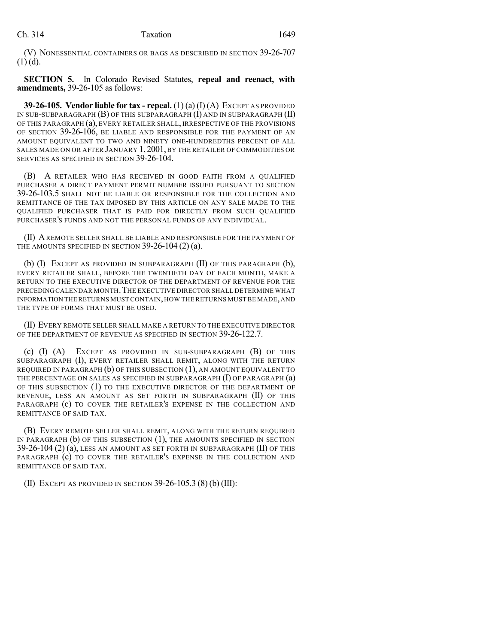(V) NONESSENTIAL CONTAINERS OR BAGS AS DESCRIBED IN SECTION 39-26-707  $(1)$  (d).

**SECTION 5.** In Colorado Revised Statutes, **repeal and reenact, with amendments,** 39-26-105 as follows:

**39-26-105. Vendor liable for tax - repeal.** (1) (a) (I) (A) EXCEPT AS PROVIDED IN SUB-SUBPARAGRAPH  $(B)$  OF THIS SUBPARAGRAPH  $(I)$  and in Subparagraph  $(II)$ OF THIS PARAGRAPH (a), EVERY RETAILER SHALL, IRRESPECTIVE OF THE PROVISIONS OF SECTION 39-26-106, BE LIABLE AND RESPONSIBLE FOR THE PAYMENT OF AN AMOUNT EQUIVALENT TO TWO AND NINETY ONE-HUNDREDTHS PERCENT OF ALL SALES MADE ON OR AFTER JANUARY 1,2001, BY THE RETAILER OF COMMODITIES OR SERVICES AS SPECIFIED IN SECTION 39-26-104.

(B) A RETAILER WHO HAS RECEIVED IN GOOD FAITH FROM A QUALIFIED PURCHASER A DIRECT PAYMENT PERMIT NUMBER ISSUED PURSUANT TO SECTION 39-26-103.5 SHALL NOT BE LIABLE OR RESPONSIBLE FOR THE COLLECTION AND REMITTANCE OF THE TAX IMPOSED BY THIS ARTICLE ON ANY SALE MADE TO THE QUALIFIED PURCHASER THAT IS PAID FOR DIRECTLY FROM SUCH QUALIFIED PURCHASER'S FUNDS AND NOT THE PERSONAL FUNDS OF ANY INDIVIDUAL.

(II) AREMOTE SELLER SHALL BE LIABLE AND RESPONSIBLE FOR THE PAYMENT OF THE AMOUNTS SPECIFIED IN SECTION 39-26-104 (2) (a).

(b)  $(I)$  Except as provided in subparagraph  $(II)$  of this paragraph  $(b)$ , EVERY RETAILER SHALL, BEFORE THE TWENTIETH DAY OF EACH MONTH, MAKE A RETURN TO THE EXECUTIVE DIRECTOR OF THE DEPARTMENT OF REVENUE FOR THE PRECEDING CALENDAR MONTH. THE EXECUTIVE DIRECTOR SHALL DETERMINE WHAT INFORMATION THE RETURNS MUST CONTAIN,HOW THE RETURNS MUST BE MADE,AND THE TYPE OF FORMS THAT MUST BE USED.

(II) EVERY REMOTE SELLER SHALL MAKE A RETURN TO THE EXECUTIVE DIRECTOR OF THE DEPARTMENT OF REVENUE AS SPECIFIED IN SECTION 39-26-122.7.

(c) (I) (A) EXCEPT AS PROVIDED IN SUB-SUBPARAGRAPH (B) OF THIS SUBPARAGRAPH (I), EVERY RETAILER SHALL REMIT, ALONG WITH THE RETURN REQUIRED IN PARAGRAPH  $(b)$  OF THIS SUBSECTION  $(1)$ , AN AMOUNT EQUIVALENT TO THE PERCENTAGE ON SALES AS SPECIFIED IN SUBPARAGRAPH  $(I)$  OF PARAGRAPH  $(a)$ OF THIS SUBSECTION (1) TO THE EXECUTIVE DIRECTOR OF THE DEPARTMENT OF REVENUE, LESS AN AMOUNT AS SET FORTH IN SUBPARAGRAPH (II) OF THIS PARAGRAPH (c) TO COVER THE RETAILER'S EXPENSE IN THE COLLECTION AND REMITTANCE OF SAID TAX.

(B) EVERY REMOTE SELLER SHALL REMIT, ALONG WITH THE RETURN REQUIRED IN PARAGRAPH  $(b)$  OF THIS SUBSECTION  $(1)$ , THE AMOUNTS SPECIFIED IN SECTION 39-26-104 (2) (a), LESS AN AMOUNT AS SET FORTH IN SUBPARAGRAPH (II) OF THIS PARAGRAPH (c) TO COVER THE RETAILER'S EXPENSE IN THE COLLECTION AND REMITTANCE OF SAID TAX.

(II) EXCEPT AS PROVIDED IN SECTION 39-26-105.3 (8) (b) (III):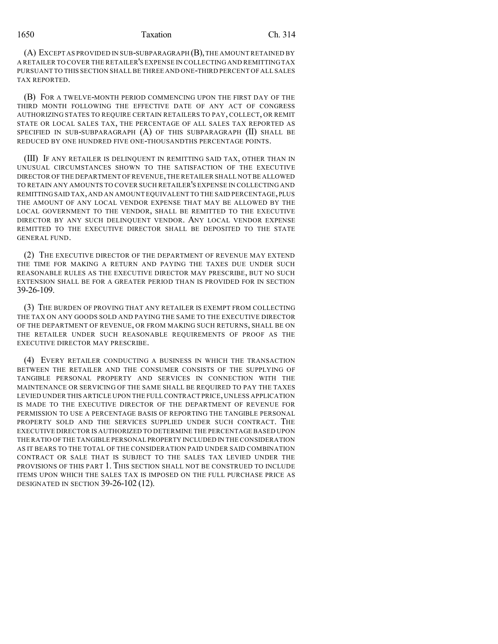(A) EXCEPT AS PROVIDED IN SUB-SUBPARAGRAPH (B),THE AMOUNT RETAINED BY A RETAILER TO COVER THE RETAILER'S EXPENSE IN COLLECTING AND REMITTING TAX PURSUANT TO THIS SECTION SHALL BE THREE AND ONE-THIRD PERCENT OF ALL SALES TAX REPORTED.

(B) FOR A TWELVE-MONTH PERIOD COMMENCING UPON THE FIRST DAY OF THE THIRD MONTH FOLLOWING THE EFFECTIVE DATE OF ANY ACT OF CONGRESS AUTHORIZING STATES TO REQUIRE CERTAIN RETAILERS TO PAY, COLLECT, OR REMIT STATE OR LOCAL SALES TAX, THE PERCENTAGE OF ALL SALES TAX REPORTED AS SPECIFIED IN SUB-SUBPARAGRAPH  $(A)$  of this subparagraph  $(II)$  shall be REDUCED BY ONE HUNDRED FIVE ONE-THOUSANDTHS PERCENTAGE POINTS.

(III) IF ANY RETAILER IS DELINQUENT IN REMITTING SAID TAX, OTHER THAN IN UNUSUAL CIRCUMSTANCES SHOWN TO THE SATISFACTION OF THE EXECUTIVE DIRECTOR OF THE DEPARTMENT OF REVENUE,THE RETAILER SHALL NOTBE ALLOWED TO RETAIN ANY AMOUNTS TO COVER SUCH RETAILER'S EXPENSE IN COLLECTING AND REMITTING SAID TAX,AND AN AMOUNT EQUIVALENT TO THE SAID PERCENTAGE,PLUS THE AMOUNT OF ANY LOCAL VENDOR EXPENSE THAT MAY BE ALLOWED BY THE LOCAL GOVERNMENT TO THE VENDOR, SHALL BE REMITTED TO THE EXECUTIVE DIRECTOR BY ANY SUCH DELINQUENT VENDOR. ANY LOCAL VENDOR EXPENSE REMITTED TO THE EXECUTIVE DIRECTOR SHALL BE DEPOSITED TO THE STATE GENERAL FUND.

(2) THE EXECUTIVE DIRECTOR OF THE DEPARTMENT OF REVENUE MAY EXTEND THE TIME FOR MAKING A RETURN AND PAYING THE TAXES DUE UNDER SUCH REASONABLE RULES AS THE EXECUTIVE DIRECTOR MAY PRESCRIBE, BUT NO SUCH EXTENSION SHALL BE FOR A GREATER PERIOD THAN IS PROVIDED FOR IN SECTION 39-26-109.

(3) THE BURDEN OF PROVING THAT ANY RETAILER IS EXEMPT FROM COLLECTING THE TAX ON ANY GOODS SOLD AND PAYING THE SAME TO THE EXECUTIVE DIRECTOR OF THE DEPARTMENT OF REVENUE, OR FROM MAKING SUCH RETURNS, SHALL BE ON THE RETAILER UNDER SUCH REASONABLE REQUIREMENTS OF PROOF AS THE EXECUTIVE DIRECTOR MAY PRESCRIBE.

(4) EVERY RETAILER CONDUCTING A BUSINESS IN WHICH THE TRANSACTION BETWEEN THE RETAILER AND THE CONSUMER CONSISTS OF THE SUPPLYING OF TANGIBLE PERSONAL PROPERTY AND SERVICES IN CONNECTION WITH THE MAINTENANCE OR SERVICING OF THE SAME SHALL BE REQUIRED TO PAY THE TAXES LEVIED UNDER THIS ARTICLE UPON THE FULL CONTRACT PRICE, UNLESS APPLICATION IS MADE TO THE EXECUTIVE DIRECTOR OF THE DEPARTMENT OF REVENUE FOR PERMISSION TO USE A PERCENTAGE BASIS OF REPORTING THE TANGIBLE PERSONAL PROPERTY SOLD AND THE SERVICES SUPPLIED UNDER SUCH CONTRACT. THE EXECUTIVE DIRECTOR IS AUTHORIZED TO DETERMINE THE PERCENTAGE BASED UPON THE RATIO OF THE TANGIBLE PERSONAL PROPERTY INCLUDED IN THE CONSIDERATION AS IT BEARS TO THE TOTAL OF THE CONSIDERATION PAID UNDER SAID COMBINATION CONTRACT OR SALE THAT IS SUBJECT TO THE SALES TAX LEVIED UNDER THE PROVISIONS OF THIS PART 1. THIS SECTION SHALL NOT BE CONSTRUED TO INCLUDE ITEMS UPON WHICH THE SALES TAX IS IMPOSED ON THE FULL PURCHASE PRICE AS DESIGNATED IN SECTION 39-26-102 (12).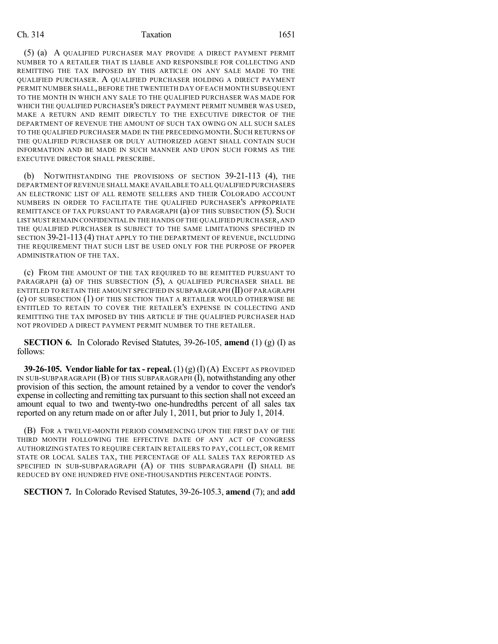#### Ch. 314 **Taxation** 1651

(5) (a) A QUALIFIED PURCHASER MAY PROVIDE A DIRECT PAYMENT PERMIT NUMBER TO A RETAILER THAT IS LIABLE AND RESPONSIBLE FOR COLLECTING AND REMITTING THE TAX IMPOSED BY THIS ARTICLE ON ANY SALE MADE TO THE QUALIFIED PURCHASER. A QUALIFIED PURCHASER HOLDING A DIRECT PAYMENT PERMIT NUMBER SHALL,BEFORE THE TWENTIETH DAY OF EACH MONTH SUBSEQUENT TO THE MONTH IN WHICH ANY SALE TO THE QUALIFIED PURCHASER WAS MADE FOR WHICH THE QUALIFIED PURCHASER'S DIRECT PAYMENT PERMIT NUMBER WAS USED, MAKE A RETURN AND REMIT DIRECTLY TO THE EXECUTIVE DIRECTOR OF THE DEPARTMENT OF REVENUE THE AMOUNT OF SUCH TAX OWING ON ALL SUCH SALES TO THE QUALIFIED PURCHASER MADE IN THE PRECEDING MONTH. SUCH RETURNS OF THE QUALIFIED PURCHASER OR DULY AUTHORIZED AGENT SHALL CONTAIN SUCH INFORMATION AND BE MADE IN SUCH MANNER AND UPON SUCH FORMS AS THE EXECUTIVE DIRECTOR SHALL PRESCRIBE.

(b) NOTWITHSTANDING THE PROVISIONS OF SECTION 39-21-113 (4), THE DEPARTMENT OF REVENUE SHALL MAKE AVAILABLE TO ALL QUALIFIED PURCHASERS AN ELECTRONIC LIST OF ALL REMOTE SELLERS AND THEIR COLORADO ACCOUNT NUMBERS IN ORDER TO FACILITATE THE QUALIFIED PURCHASER'S APPROPRIATE REMITTANCE OF TAX PURSUANT TO PARAGRAPH (a) OF THIS SUBSECTION (5). SUCH LIST MUST REMAIN CONFIDENTIAL IN THE HANDS OF THE QUALIFIED PURCHASER,AND THE QUALIFIED PURCHASER IS SUBJECT TO THE SAME LIMITATIONS SPECIFIED IN SECTION 39-21-113 (4) THAT APPLY TO THE DEPARTMENT OF REVENUE, INCLUDING THE REQUIREMENT THAT SUCH LIST BE USED ONLY FOR THE PURPOSE OF PROPER ADMINISTRATION OF THE TAX.

(c) FROM THE AMOUNT OF THE TAX REQUIRED TO BE REMITTED PURSUANT TO PARAGRAPH (a) OF THIS SUBSECTION (5), A QUALIFIED PURCHASER SHALL BE ENTITLED TO RETAIN THE AMOUNT SPECIFIED IN SUBPARAGRAPH (II) OF PARAGRAPH (c) OF SUBSECTION (1) OF THIS SECTION THAT A RETAILER WOULD OTHERWISE BE ENTITLED TO RETAIN TO COVER THE RETAILER'S EXPENSE IN COLLECTING AND REMITTING THE TAX IMPOSED BY THIS ARTICLE IF THE QUALIFIED PURCHASER HAD NOT PROVIDED A DIRECT PAYMENT PERMIT NUMBER TO THE RETAILER.

**SECTION 6.** In Colorado Revised Statutes, 39-26-105, **amend** (1) (g) (I) as follows:

**39-26-105. Vendor liable for tax - repeal.** (1) (g) (I) (A) EXCEPT AS PROVIDED IN SUB-SUBPARAGRAPH (B) OF THIS SUBPARAGRAPH (I), notwithstanding any other provision of this section, the amount retained by a vendor to cover the vendor's expense in collecting and remitting tax pursuant to this section shall not exceed an amount equal to two and twenty-two one-hundredths percent of all sales tax reported on any return made on or after July 1, 2011, but prior to July 1, 2014.

(B) FOR A TWELVE-MONTH PERIOD COMMENCING UPON THE FIRST DAY OF THE THIRD MONTH FOLLOWING THE EFFECTIVE DATE OF ANY ACT OF CONGRESS AUTHORIZING STATES TO REQUIRE CERTAIN RETAILERS TO PAY, COLLECT, OR REMIT STATE OR LOCAL SALES TAX, THE PERCENTAGE OF ALL SALES TAX REPORTED AS SPECIFIED IN SUB-SUBPARAGRAPH (A) OF THIS SUBPARAGRAPH (I) SHALL BE REDUCED BY ONE HUNDRED FIVE ONE-THOUSANDTHS PERCENTAGE POINTS.

**SECTION 7.** In Colorado Revised Statutes, 39-26-105.3, **amend** (7); and **add**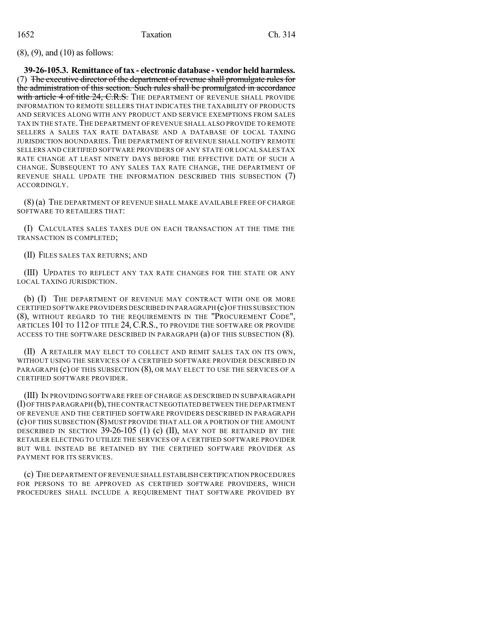(8), (9), and (10) as follows:

**39-26-105.3. Remittance of tax - electronic database - vendor held harmless.** (7) The executive director of the department of revenue shall promulgate rules for the administration of this section. Such rules shall be promulgated in accordance with article 4 of title 24, C.R.S. The DEPARTMENT OF REVENUE SHALL PROVIDE INFORMATION TO REMOTE SELLERS THAT INDICATES THE TAXABILITY OF PRODUCTS AND SERVICES ALONG WITH ANY PRODUCT AND SERVICE EXEMPTIONS FROM SALES TAX IN THE STATE. THE DEPARTMENT OF REVENUE SHALL ALSO PROVIDE TO REMOTE SELLERS A SALES TAX RATE DATABASE AND A DATABASE OF LOCAL TAXING JURISDICTION BOUNDARIES. THE DEPARTMENT OF REVENUE SHALL NOTIFY REMOTE SELLERS AND CERTIFIED SOFTWARE PROVIDERS OF ANY STATE OR LOCAL SALES TAX RATE CHANGE AT LEAST NINETY DAYS BEFORE THE EFFECTIVE DATE OF SUCH A CHANGE. SUBSEQUENT TO ANY SALES TAX RATE CHANGE, THE DEPARTMENT OF REVENUE SHALL UPDATE THE INFORMATION DESCRIBED THIS SUBSECTION (7) ACCORDINGLY.

(8) (a) THE DEPARTMENT OF REVENUE SHALL MAKE AVAILABLE FREE OF CHARGE SOFTWARE TO RETAILERS THAT:

(I) CALCULATES SALES TAXES DUE ON EACH TRANSACTION AT THE TIME THE TRANSACTION IS COMPLETED;

(II) FILES SALES TAX RETURNS; AND

(III) UPDATES TO REFLECT ANY TAX RATE CHANGES FOR THE STATE OR ANY LOCAL TAXING JURISDICTION.

(b) (I) THE DEPARTMENT OF REVENUE MAY CONTRACT WITH ONE OR MORE CERTIFIED SOFTWARE PROVIDERS DESCRIBED IN PARAGRAPH (c) OF THIS SUBSECTION (8), WITHOUT REGARD TO THE REQUIREMENTS IN THE "PROCUREMENT CODE", ARTICLES 101 TO 112 OF TITLE 24, C.R.S., TO PROVIDE THE SOFTWARE OR PROVIDE ACCESS TO THE SOFTWARE DESCRIBED IN PARAGRAPH (a) OF THIS SUBSECTION (8).

(II) A RETAILER MAY ELECT TO COLLECT AND REMIT SALES TAX ON ITS OWN, WITHOUT USING THE SERVICES OF A CERTIFIED SOFTWARE PROVIDER DESCRIBED IN PARAGRAPH (c) OF THIS SUBSECTION (8), OR MAY ELECT TO USE THE SERVICES OF A CERTIFIED SOFTWARE PROVIDER.

(III) IN PROVIDING SOFTWARE FREE OF CHARGE AS DESCRIBED IN SUBPARAGRAPH (I)OF THIS PARAGRAPH (b),THE CONTRACT NEGOTIATED BETWEEN THE DEPARTMENT OF REVENUE AND THE CERTIFIED SOFTWARE PROVIDERS DESCRIBED IN PARAGRAPH (c) OF THIS SUBSECTION (8) MUST PROVIDE THAT ALL OR A PORTION OF THE AMOUNT DESCRIBED IN SECTION  $39-26-105$  (1) (c) (II), MAY NOT BE RETAINED BY THE RETAILER ELECTING TO UTILIZE THE SERVICES OF A CERTIFIED SOFTWARE PROVIDER BUT WILL INSTEAD BE RETAINED BY THE CERTIFIED SOFTWARE PROVIDER AS PAYMENT FOR ITS SERVICES.

(c) THE DEPARTMENT OF REVENUE SHALL ESTABLISH CERTIFICATION PROCEDURES FOR PERSONS TO BE APPROVED AS CERTIFIED SOFTWARE PROVIDERS, WHICH PROCEDURES SHALL INCLUDE A REQUIREMENT THAT SOFTWARE PROVIDED BY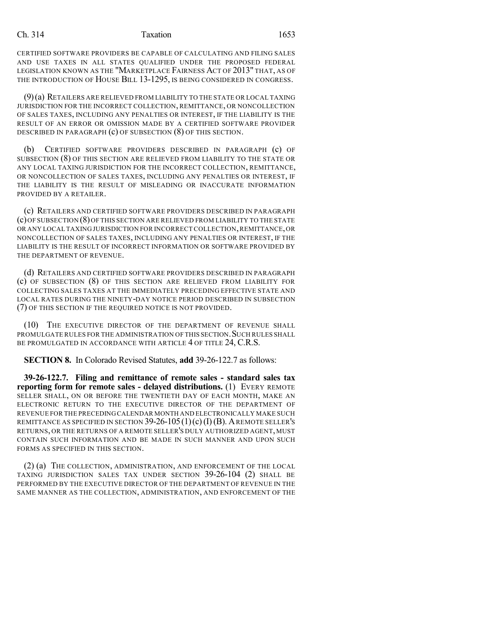#### Ch. 314 Taxation 1653

CERTIFIED SOFTWARE PROVIDERS BE CAPABLE OF CALCULATING AND FILING SALES AND USE TAXES IN ALL STATES QUALIFIED UNDER THE PROPOSED FEDERAL LEGISLATION KNOWN AS THE "MARKETPLACE FAIRNESS ACT OF 2013" THAT, AS OF THE INTRODUCTION OF HOUSE BILL 13-1295, IS BEING CONSIDERED IN CONGRESS.

(9)(a) RETAILERS ARE RELIEVED FROM LIABILITY TO THE STATE OR LOCAL TAXING JURISDICTION FOR THE INCORRECT COLLECTION, REMITTANCE, OR NONCOLLECTION OF SALES TAXES, INCLUDING ANY PENALTIES OR INTEREST, IF THE LIABILITY IS THE RESULT OF AN ERROR OR OMISSION MADE BY A CERTIFIED SOFTWARE PROVIDER DESCRIBED IN PARAGRAPH (c) OF SUBSECTION (8) OF THIS SECTION.

(b) CERTIFIED SOFTWARE PROVIDERS DESCRIBED IN PARAGRAPH (c) OF SUBSECTION (8) OF THIS SECTION ARE RELIEVED FROM LIABILITY TO THE STATE OR ANY LOCAL TAXING JURISDICTION FOR THE INCORRECT COLLECTION, REMITTANCE, OR NONCOLLECTION OF SALES TAXES, INCLUDING ANY PENALTIES OR INTEREST, IF THE LIABILITY IS THE RESULT OF MISLEADING OR INACCURATE INFORMATION PROVIDED BY A RETAILER.

(c) RETAILERS AND CERTIFIED SOFTWARE PROVIDERS DESCRIBED IN PARAGRAPH (c)OF SUBSECTION (8)OF THIS SECTION ARE RELIEVED FROM LIABILITY TO THE STATE OR ANY LOCAL TAXING JURISDICTION FOR INCORRECT COLLECTION,REMITTANCE,OR NONCOLLECTION OF SALES TAXES, INCLUDING ANY PENALTIES OR INTEREST, IF THE LIABILITY IS THE RESULT OF INCORRECT INFORMATION OR SOFTWARE PROVIDED BY THE DEPARTMENT OF REVENUE.

(d) RETAILERS AND CERTIFIED SOFTWARE PROVIDERS DESCRIBED IN PARAGRAPH (c) OF SUBSECTION (8) OF THIS SECTION ARE RELIEVED FROM LIABILITY FOR COLLECTING SALES TAXES AT THE IMMEDIATELY PRECEDING EFFECTIVE STATE AND LOCAL RATES DURING THE NINETY-DAY NOTICE PERIOD DESCRIBED IN SUBSECTION (7) OF THIS SECTION IF THE REQUIRED NOTICE IS NOT PROVIDED.

(10) THE EXECUTIVE DIRECTOR OF THE DEPARTMENT OF REVENUE SHALL PROMULGATE RULES FOR THE ADMINISTRATION OF THIS SECTION. SUCH RULES SHALL BE PROMULGATED IN ACCORDANCE WITH ARTICLE 4 OF TITLE 24, C.R.S.

**SECTION 8.** In Colorado Revised Statutes, **add** 39-26-122.7 as follows:

**39-26-122.7. Filing and remittance of remote sales - standard sales tax reporting form for remote sales - delayed distributions.** (1) EVERY REMOTE SELLER SHALL, ON OR BEFORE THE TWENTIETH DAY OF EACH MONTH, MAKE AN ELECTRONIC RETURN TO THE EXECUTIVE DIRECTOR OF THE DEPARTMENT OF REVENUE FOR THE PRECEDINGCALENDAR MONTH AND ELECTRONICALLY MAKE SUCH REMITTANCE AS SPECIFIED IN SECTION  $39-26-105(1)(c)(I)(B)$ . A REMOTE SELLER'S RETURNS, OR THE RETURNS OF A REMOTE SELLER'S DULY AUTHORIZED AGENT, MUST CONTAIN SUCH INFORMATION AND BE MADE IN SUCH MANNER AND UPON SUCH FORMS AS SPECIFIED IN THIS SECTION.

(2) (a) THE COLLECTION, ADMINISTRATION, AND ENFORCEMENT OF THE LOCAL TAXING JURISDICTION SALES TAX UNDER SECTION 39-26-104 (2) SHALL BE PERFORMED BY THE EXECUTIVE DIRECTOR OF THE DEPARTMENT OF REVENUE IN THE SAME MANNER AS THE COLLECTION, ADMINISTRATION, AND ENFORCEMENT OF THE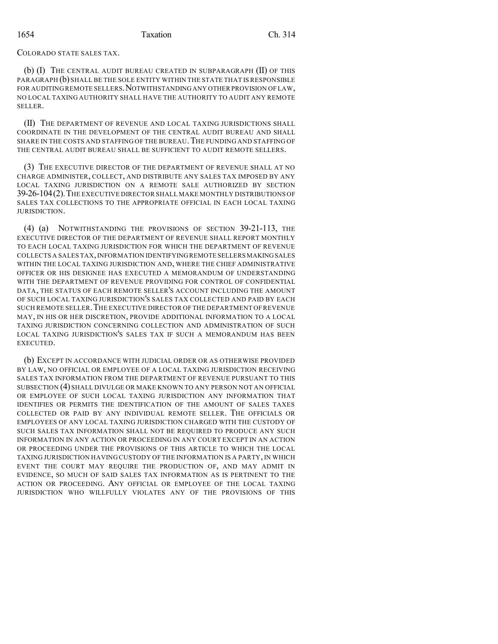COLORADO STATE SALES TAX.

(b) (I) THE CENTRAL AUDIT BUREAU CREATED IN SUBPARAGRAPH (II) OF THIS PARAGRAPH (b) SHALL BE THE SOLE ENTITY WITHIN THE STATE THAT IS RESPONSIBLE FOR AUDITING REMOTE SELLERS. NOTWITHSTANDING ANY OTHER PROVISION OF LAW, NO LOCAL TAXING AUTHORITY SHALL HAVE THE AUTHORITY TO AUDIT ANY REMOTE SELLER.

(II) THE DEPARTMENT OF REVENUE AND LOCAL TAXING JURISDICTIONS SHALL COORDINATE IN THE DEVELOPMENT OF THE CENTRAL AUDIT BUREAU AND SHALL SHARE IN THE COSTS AND STAFFING OF THE BUREAU. THE FUNDING AND STAFFING OF THE CENTRAL AUDIT BUREAU SHALL BE SUFFICIENT TO AUDIT REMOTE SELLERS.

(3) THE EXECUTIVE DIRECTOR OF THE DEPARTMENT OF REVENUE SHALL AT NO CHARGE ADMINISTER, COLLECT, AND DISTRIBUTE ANY SALES TAX IMPOSED BY ANY LOCAL TAXING JURISDICTION ON A REMOTE SALE AUTHORIZED BY SECTION 39-26-104(2).THE EXECUTIVE DIRECTOR SHALL MAKE MONTHLY DISTRIBUTIONS OF SALES TAX COLLECTIONS TO THE APPROPRIATE OFFICIAL IN EACH LOCAL TAXING JURISDICTION.

(4) (a) NOTWITHSTANDING THE PROVISIONS OF SECTION 39-21-113, THE EXECUTIVE DIRECTOR OF THE DEPARTMENT OF REVENUE SHALL REPORT MONTHLY TO EACH LOCAL TAXING JURISDICTION FOR WHICH THE DEPARTMENT OF REVENUE COLLECTS A SALES TAX,INFORMATION IDENTIFYINGREMOTE SELLERS MAKINGSALES WITHIN THE LOCAL TAXING JURISDICTION AND, WHERE THE CHIEF ADMINISTRATIVE OFFICER OR HIS DESIGNEE HAS EXECUTED A MEMORANDUM OF UNDERSTANDING WITH THE DEPARTMENT OF REVENUE PROVIDING FOR CONTROL OF CONFIDENTIAL DATA, THE STATUS OF EACH REMOTE SELLER'S ACCOUNT INCLUDING THE AMOUNT OF SUCH LOCAL TAXING JURISDICTION'S SALES TAX COLLECTED AND PAID BY EACH SUCH REMOTE SELLER.THE EXECUTIVE DIRECTOR OF THE DEPARTMENT OF REVENUE MAY, IN HIS OR HER DISCRETION, PROVIDE ADDITIONAL INFORMATION TO A LOCAL TAXING JURISDICTION CONCERNING COLLECTION AND ADMINISTRATION OF SUCH LOCAL TAXING JURISDICTION'S SALES TAX IF SUCH A MEMORANDUM HAS BEEN EXECUTED.

(b) EXCEPT IN ACCORDANCE WITH JUDICIAL ORDER OR AS OTHERWISE PROVIDED BY LAW, NO OFFICIAL OR EMPLOYEE OF A LOCAL TAXING JURISDICTION RECEIVING SALES TAX INFORMATION FROM THE DEPARTMENT OF REVENUE PURSUANT TO THIS SUBSECTION (4) SHALL DIVULGE OR MAKE KNOWN TO ANY PERSON NOT AN OFFICIAL OR EMPLOYEE OF SUCH LOCAL TAXING JURISDICTION ANY INFORMATION THAT IDENTIFIES OR PERMITS THE IDENTIFICATION OF THE AMOUNT OF SALES TAXES COLLECTED OR PAID BY ANY INDIVIDUAL REMOTE SELLER. THE OFFICIALS OR EMPLOYEES OF ANY LOCAL TAXING JURISDICTION CHARGED WITH THE CUSTODY OF SUCH SALES TAX INFORMATION SHALL NOT BE REQUIRED TO PRODUCE ANY SUCH INFORMATION IN ANY ACTION OR PROCEEDING IN ANY COURT EXCEPT IN AN ACTION OR PROCEEDING UNDER THE PROVISIONS OF THIS ARTICLE TO WHICH THE LOCAL TAXING JURISDICTION HAVING CUSTODY OF THE INFORMATION IS A PARTY, IN WHICH EVENT THE COURT MAY REQUIRE THE PRODUCTION OF, AND MAY ADMIT IN EVIDENCE, SO MUCH OF SAID SALES TAX INFORMATION AS IS PERTINENT TO THE ACTION OR PROCEEDING. ANY OFFICIAL OR EMPLOYEE OF THE LOCAL TAXING JURISDICTION WHO WILLFULLY VIOLATES ANY OF THE PROVISIONS OF THIS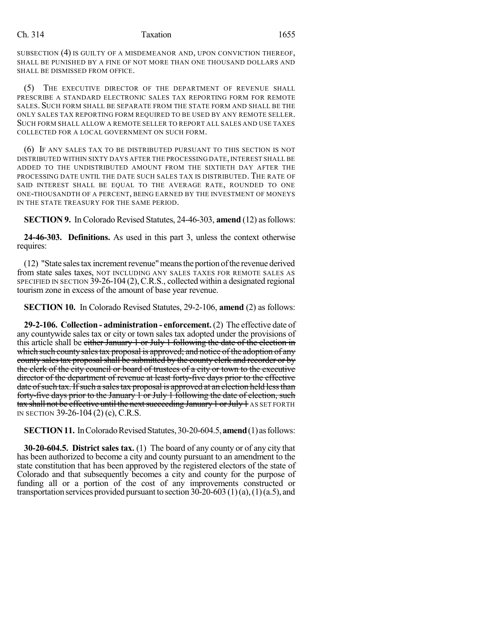#### Ch. 314 **Taxation** 1655

SUBSECTION (4) IS GUILTY OF A MISDEMEANOR AND, UPON CONVICTION THEREOF, SHALL BE PUNISHED BY A FINE OF NOT MORE THAN ONE THOUSAND DOLLARS AND SHALL BE DISMISSED FROM OFFICE.

(5) THE EXECUTIVE DIRECTOR OF THE DEPARTMENT OF REVENUE SHALL PRESCRIBE A STANDARD ELECTRONIC SALES TAX REPORTING FORM FOR REMOTE SALES. SUCH FORM SHALL BE SEPARATE FROM THE STATE FORM AND SHALL BE THE ONLY SALES TAX REPORTING FORM REQUIRED TO BE USED BY ANY REMOTE SELLER. SUCH FORM SHALL ALLOW A REMOTE SELLER TO REPORT ALL SALES AND USE TAXES COLLECTED FOR A LOCAL GOVERNMENT ON SUCH FORM.

(6) IF ANY SALES TAX TO BE DISTRIBUTED PURSUANT TO THIS SECTION IS NOT DISTRIBUTED WITHIN SIXTY DAYS AFTER THE PROCESSING DATE, INTEREST SHALL BE ADDED TO THE UNDISTRIBUTED AMOUNT FROM THE SIXTIETH DAY AFTER THE PROCESSING DATE UNTIL THE DATE SUCH SALES TAX IS DISTRIBUTED. THE RATE OF SAID INTEREST SHALL BE EQUAL TO THE AVERAGE RATE, ROUNDED TO ONE ONE-THOUSANDTH OF A PERCENT, BEING EARNED BY THE INVESTMENT OF MONEYS IN THE STATE TREASURY FOR THE SAME PERIOD.

**SECTION 9.** In Colorado Revised Statutes, 24-46-303, **amend** (12) asfollows:

**24-46-303. Definitions.** As used in this part 3, unless the context otherwise requires:

(12) "State sales tax increment revenue" means the portion of the revenue derived from state sales taxes, NOT INCLUDING ANY SALES TAXES FOR REMOTE SALES AS SPECIFIED IN SECTION 39-26-104 (2), C.R.S., collected within a designated regional tourism zone in excess of the amount of base year revenue.

**SECTION 10.** In Colorado Revised Statutes, 29-2-106, **amend** (2) as follows:

**29-2-106. Collection - administration - enforcement.** (2) The effective date of any countywide sales tax or city or town sales tax adopted under the provisions of this article shall be either January 1 or July 1 following the date of the election in which such county sales tax proposal is approved; and notice of the adoption of any county sales tax proposal shall be submitted by the county clerk and recorder or by the clerk of the city council or board of trustees of a city or town to the executive director of the department of revenue at least forty-five days prior to the effective date of such tax. If such a sales tax proposal is approved at an election held less than forty-five days prior to the January 1 or July 1 following the date of election, such tax shall not be effective until the next succeeding January 1 or July 1 AS SET FORTH IN SECTION 39-26-104 (2) (c), C.R.S.

**SECTION 11.** In Colorado Revised Statutes, 30-20-604.5, **amend** (1) as follows:

**30-20-604.5. District sales tax.** (1) The board of any county or of any city that has been authorized to become a city and county pursuant to an amendment to the state constitution that has been approved by the registered electors of the state of Colorado and that subsequently becomes a city and county for the purpose of funding all or a portion of the cost of any improvements constructed or transportation services provided pursuant to section  $30-20-603(1)(a)$ ,  $(1)(a.5)$ , and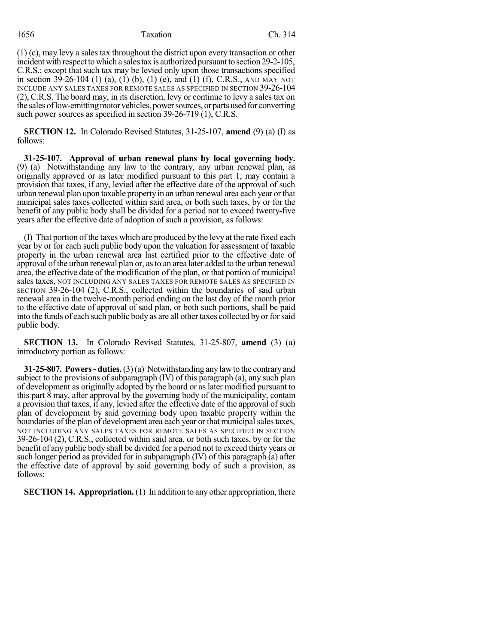### 1656 Taxation Ch. 314

(1) (c), may levy a sales tax throughout the district upon every transaction or other incident with respect to which a sales tax is authorized pursuant to section 29-2-105, C.R.S.; except that such tax may be levied only upon those transactions specified in section 39-26-104 (1) (a), (1) (b), (1) (e), and (1) (f), C.R.S., AND MAY NOT INCLUDE ANY SALES TAXES FOR REMOTE SALES AS SPECIFIED IN SECTION 39-26-104 (2), C.R.S. The board may, in its discretion, levy or continue to levy a sales tax on the sales of low-emitting motor vehicles, power sources, or parts used for converting such power sources as specified in section 39-26-719 (1), C.R.S.

**SECTION 12.** In Colorado Revised Statutes, 31-25-107, **amend** (9) (a) (I) as follows:

**31-25-107. Approval of urban renewal plans by local governing body.** (9) (a) Notwithstanding any law to the contrary, any urban renewal plan, as originally approved or as later modified pursuant to this part 1, may contain a provision that taxes, if any, levied after the effective date of the approval of such urban renewal plan upon taxable propertyin an urban renewal area each year orthat municipal sales taxes collected within said area, or both such taxes, by or for the benefit of any public body shall be divided for a period not to exceed twenty-five years after the effective date of adoption of such a provision, as follows:

(I) That portion of the taxes which are produced by the levy at the rate fixed each year by or for each such public body upon the valuation for assessment of taxable property in the urban renewal area last certified prior to the effective date of approval ofthe urban renewal plan or, asto an area later added to the urban renewal area, the effective date of the modification of the plan, or that portion of municipal sales taxes, NOT INCLUDING ANY SALES TAXES FOR REMOTE SALES AS SPECIFIED IN SECTION 39-26-104 (2), C.R.S., collected within the boundaries of said urban renewal area in the twelve-month period ending on the last day of the month prior to the effective date of approval of said plan, or both such portions, shall be paid into the funds of each such public body as are all other taxes collected by or for said public body.

**SECTION 13.** In Colorado Revised Statutes, 31-25-807, **amend** (3) (a) introductory portion as follows:

**31-25-807. Powers- duties.**(3)(a) Notwithstanding anylawto the contrary and subject to the provisions of subparagraph (IV) of this paragraph (a), any such plan of development as originally adopted by the board or as later modified pursuant to this part 8 may, after approval by the governing body of the municipality, contain a provision that taxes, if any, levied after the effective date of the approval of such plan of development by said governing body upon taxable property within the boundaries of the plan of development area each year or that municipal sales taxes, NOT INCLUDING ANY SALES TAXES FOR REMOTE SALES AS SPECIFIED IN SECTION 39-26-104 (2), C.R.S., collected within said area, or both such taxes, by or for the benefit of any public body shall be divided for a period not to exceed thirty years or such longer period as provided for in subparagraph (IV) of this paragraph (a) after the effective date of approval by said governing body of such a provision, as follows:

**SECTION 14. Appropriation.** (1) In addition to any other appropriation, there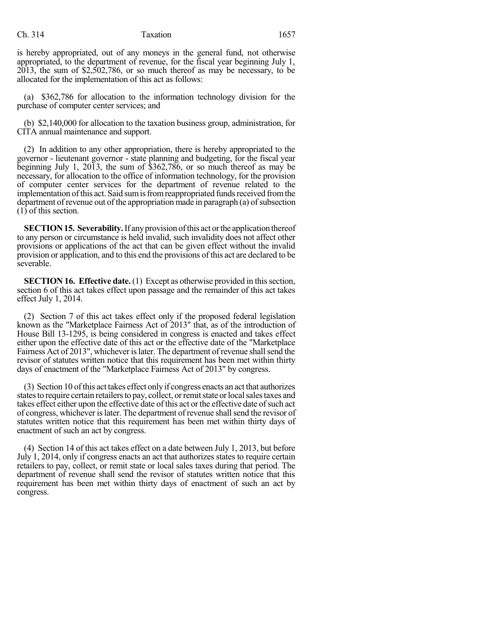is hereby appropriated, out of any moneys in the general fund, not otherwise appropriated, to the department of revenue, for the fiscal year beginning July 1, 2013, the sum of \$2,502,786, or so much thereof as may be necessary, to be allocated for the implementation of this act as follows:

(a) \$362,786 for allocation to the information technology division for the purchase of computer center services; and

(b) \$2,140,000 for allocation to the taxation business group, administration, for CITA annual maintenance and support.

(2) In addition to any other appropriation, there is hereby appropriated to the governor - lieutenant governor - state planning and budgeting, for the fiscal year beginning July 1, 2013, the sum of \$362,786, or so much thereof as may be necessary, for allocation to the office of information technology, for the provision of computer center services for the department of revenue related to the implementation of this act. Said sum is from reappropriated funds received from the department of revenue out of the appropriation made in paragraph  $(a)$  of subsection  $(1)$  of this section.

**SECTION 15. Severability.** If any provision of this act or the application thereof to any person or circumstance is held invalid, such invalidity does not affect other provisions or applications of the act that can be given effect without the invalid provision or application, and to this end the provisions of this act are declared to be severable.

**SECTION 16. Effective date.** (1) Except as otherwise provided in this section, section 6 of this act takes effect upon passage and the remainder of this act takes effect July 1, 2014.

(2) Section 7 of this act takes effect only if the proposed federal legislation known as the "Marketplace Fairness Act of 2013" that, as of the introduction of House Bill 13-1295, is being considered in congress is enacted and takes effect either upon the effective date of this act or the effective date of the "Marketplace Fairness Act of 2013", whichever is later. The department of revenue shall send the revisor of statutes written notice that this requirement has been met within thirty days of enactment of the "Marketplace Fairness Act of 2013" by congress.

(3) Section 10 ofthis act takes effect onlyif congress enacts an act that authorizes states to require certain retailers to pay, collect, or remit state or local sales taxes and takes effect either upon the effective date of this act or the effective date of such act of congress, whichever islater. The department of revenue shallsend the revisor of statutes written notice that this requirement has been met within thirty days of enactment of such an act by congress.

(4) Section 14 of this act takes effect on a date between July 1, 2013, but before July 1, 2014, only if congress enacts an act that authorizes states to require certain retailers to pay, collect, or remit state or local sales taxes during that period. The department of revenue shall send the revisor of statutes written notice that this requirement has been met within thirty days of enactment of such an act by congress.